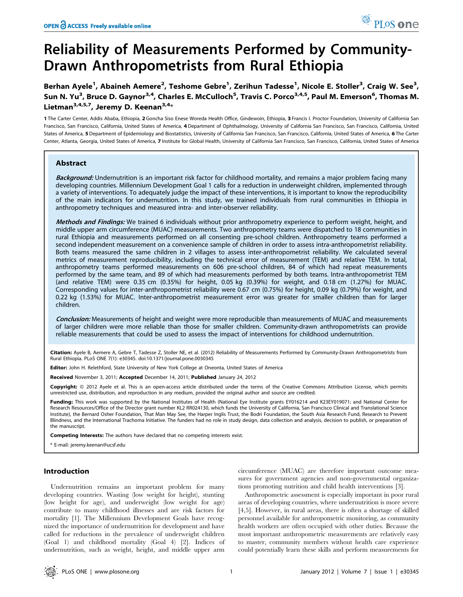# Reliability of Measurements Performed by Community-Drawn Anthropometrists from Rural Ethiopia

Berhan Ayele<sup>1</sup>, Abaineh Aemere<sup>2</sup>, Teshome Gebre<sup>1</sup>, Zerihun Tadesse<sup>1</sup>, Nicole E. Stoller<sup>3</sup>, Craig W. See<sup>3</sup>, Sun N. Yu<sup>3</sup>, Bruce D. Gaynor<sup>3,4</sup>, Charles E. McCulloch<sup>5</sup>, Travis C. Porco<sup>3,4,5</sup>, Paul M. Emerson<sup>6</sup>, Thomas M. Lietman<sup>3,4,5,7</sup>, Jeremy D. Keenan<sup>3,4\*</sup>

1 The Carter Center, Addis Ababa, Ethiopia, 2 Goncha Siso Enese Woreda Health Office, Gindewoin, Ethiopia, 3 Francis I. Proctor Foundation, University of California San Francisco, San Francisco, California, United States of America, 4 Department of Ophthalmology, University of California San Francisco, San Francisco, California, United States of America, 5 Department of Epidemiology and Biostatistics, University of California San Francisco, San Francisco, California, United States of America, 6 The Carter Center, Atlanta, Georgia, United States of America, 7 Institute for Global Health, University of California San Francisco, San Francisco, California, United States of America

# Abstract

Background: Undernutrition is an important risk factor for childhood mortality, and remains a major problem facing many developing countries. Millennium Development Goal 1 calls for a reduction in underweight children, implemented through a variety of interventions. To adequately judge the impact of these interventions, it is important to know the reproducibility of the main indicators for undernutrition. In this study, we trained individuals from rural communities in Ethiopia in anthropometry techniques and measured intra- and inter-observer reliability.

Methods and Findings: We trained 6 individuals without prior anthropometry experience to perform weight, height, and middle upper arm circumference (MUAC) measurements. Two anthropometry teams were dispatched to 18 communities in rural Ethiopia and measurements performed on all consenting pre-school children. Anthropometry teams performed a second independent measurement on a convenience sample of children in order to assess intra-anthropometrist reliability. Both teams measured the same children in 2 villages to assess inter-anthropometrist reliability. We calculated several metrics of measurement reproducibility, including the technical error of measurement (TEM) and relative TEM. In total, anthropometry teams performed measurements on 606 pre-school children, 84 of which had repeat measurements performed by the same team, and 89 of which had measurements performed by both teams. Intra-anthropometrist TEM (and relative TEM) were 0.35 cm (0.35%) for height, 0.05 kg (0.39%) for weight, and 0.18 cm (1.27%) for MUAC. Corresponding values for inter-anthropometrist reliability were 0.67 cm (0.75%) for height, 0.09 kg (0.79%) for weight, and 0.22 kg (1.53%) for MUAC. Inter-anthropometrist measurement error was greater for smaller children than for larger children.

**Conclusion:** Measurements of height and weight were more reproducible than measurements of MUAC and measurements of larger children were more reliable than those for smaller children. Community-drawn anthropometrists can provide reliable measurements that could be used to assess the impact of interventions for childhood undernutrition.

Citation: Ayele B, Aemere A, Gebre T, Tadesse Z, Stoller NE, et al. (2012) Reliability of Measurements Performed by Community-Drawn Anthropometrists from Rural Ethiopia. PLoS ONE 7(1): e30345. doi:10.1371/journal.pone.0030345

Editor: John H. Relethford, State University of New York College at Oneonta, United States of America

Received November 3, 2011; Accepted December 14, 2011; Published January 24, 2012

Copyright: © 2012 Ayele et al. This is an open-access article distributed under the terms of the Creative Commons Attribution License, which permits unrestricted use, distribution, and reproduction in any medium, provided the original author and source are credited.

Funding: This work was supported by the National Institutes of Health (National Eye Institute grants EY016214 and K23EY019071; and National Center for Research Resources/Office of the Director grant number KL2 RR024130, which funds the University of California, San Francisco Clinical and Translational Science Institute), the Bernard Osher Foundation, That Man May See, the Harper Inglis Trust, the Bodri Foundation, the South Asia Research Fund, Research to Prevent Blindness, and the International Trachoma Initiative. The funders had no role in study design, data collection and analysis, decision to publish, or preparation of the manuscript.

Competing Interests: The authors have declared that no competing interests exist.

\* E-mail: jeremy.keenan@ucsf.edu

## Introduction

Undernutrition remains an important problem for many developing countries. Wasting (low weight for height), stunting (low height for age), and underweight (low weight for age) contribute to many childhood illnesses and are risk factors for mortality [1]. The Millennium Development Goals have recognized the importance of undernutrition for development and have called for reductions in the prevalence of underweight children (Goal 1) and childhood mortality (Goal 4) [2]. Indices of undernutrition, such as weight, height, and middle upper arm

circumference (MUAC) are therefore important outcome measures for government agencies and non-governmental organizations promoting nutrition and child health interventions [3].

Anthropometric assessment is especially important in poor rural areas of developing countries, where undernutrition is more severe [4,5]. However, in rural areas, there is often a shortage of skilled personnel available for anthropometric monitoring, as community health workers are often occupied with other duties. Because the most important anthropometric measurements are relatively easy to master, community members without health care experience could potentially learn these skills and perform measurements for

PLoS one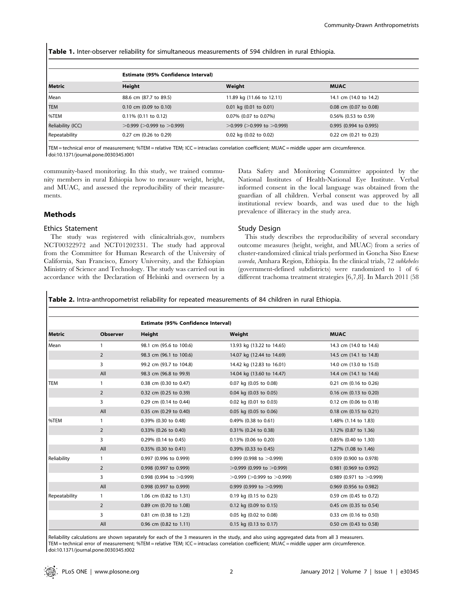Table 1. Inter-observer reliability for simultaneous measurements of 594 children in rural Ethiopia.

|                   | <b>Estimate (95% Confidence Interval)</b> |                                   |                         |  |
|-------------------|-------------------------------------------|-----------------------------------|-------------------------|--|
| <b>Metric</b>     | <b>Height</b>                             | Weight                            | <b>MUAC</b>             |  |
| Mean              | 88.6 cm (87.7 to 89.5)                    | 11.89 kg (11.66 to 12.11)         | 14.1 cm (14.0 to 14.2)  |  |
| <b>TEM</b>        | $0.10$ cm $(0.09$ to $0.10)$              | $0.01$ kg $(0.01$ to $0.01)$      | 0.08 cm (0.07 to 0.08)  |  |
| %TEM              | $0.11\%$ (0.11 to 0.12)                   | 0.07% (0.07 to 0.07%)             | $0.56\%$ (0.53 to 0.59) |  |
| Reliability (ICC) | $>0.999$ ( $>0.999$ to $>0.999$ )         | $>0.999$ ( $>0.999$ to $>0.999$ ) | 0.995 (0.994 to 0.995)  |  |
| Repeatability     | 0.27 cm (0.26 to 0.29)                    | 0.02 kg (0.02 to 0.02)            | 0.22 cm (0.21 to 0.23)  |  |

TEM = technical error of measurement; %TEM = relative TEM; ICC = intraclass correlation coefficient; MUAC = middle upper arm circumference. doi:10.1371/journal.pone.0030345.t001

community-based monitoring. In this study, we trained community members in rural Ethiopia how to measure weight, height, and MUAC, and assessed the reproducibility of their measurements.

# Methods

## Ethics Statement

The study was registered with clinicaltrials.gov, numbers NCT00322972 and NCT01202331. The study had approval from the Committee for Human Research of the University of California, San Francisco, Emory University, and the Ethiopian Ministry of Science and Technology. The study was carried out in accordance with the Declaration of Helsinki and overseen by a Data Safety and Monitoring Committee appointed by the National Institutes of Health-National Eye Institute. Verbal informed consent in the local language was obtained from the guardian of all children. Verbal consent was approved by all institutional review boards, and was used due to the high prevalence of illiteracy in the study area.

# Study Design

This study describes the reproducibility of several secondary outcome measures (height, weight, and MUAC) from a series of cluster-randomized clinical trials performed in Goncha Siso Enese woreda, Amhara Region, Ethiopia. In the clinical trials, 72 subkebeles (government-defined subdistricts) were randomized to 1 of 6 different trachoma treatment strategies [6,7,8]. In March 2011 (58

Table 2. Intra-anthropometrist reliability for repeated measurements of 84 children in rural Ethiopia.

|               |                 | <b>Estimate (95% Confidence Interval)</b> |                                   |                            |  |
|---------------|-----------------|-------------------------------------------|-----------------------------------|----------------------------|--|
| <b>Metric</b> | <b>Observer</b> | Height                                    | Weight                            | <b>MUAC</b>                |  |
| Mean          | 1               | 98.1 cm (95.6 to 100.6)                   | 13.93 kg (13.22 to 14.65)         | 14.3 cm (14.0 to 14.6)     |  |
|               | $\overline{2}$  | 98.3 cm (96.1 to 100.6)                   | 14.07 kg (12.44 to 14.69)         | 14.5 cm (14.1 to 14.8)     |  |
|               | 3               | 99.2 cm (93.7 to 104.8)                   | 14.42 kg (12.83 to 16.01)         | 14.0 cm (13.0 to 15.0)     |  |
|               | All             | 98.3 cm (96.8 to 99.9)                    | 14.04 kg (13.60 to 14.47)         | 14.4 cm (14.1 to 14.6)     |  |
| <b>TEM</b>    | $\mathbf{1}$    | 0.38 cm (0.30 to 0.47)                    | 0.07 kg (0.05 to 0.08)            | 0.21 cm (0.16 to 0.26)     |  |
|               | $\overline{2}$  | 0.32 cm (0.25 to 0.39)                    | 0.04 kg (0.03 to 0.05)            | 0.16 cm (0.13 to 0.20)     |  |
|               | 3               | 0.29 cm (0.14 to 0.44)                    | 0.02 kg (0.01 to 0.03)            | 0.12 cm (0.06 to 0.18)     |  |
|               | All             | 0.35 cm (0.29 to 0.40)                    | 0.05 kg (0.05 to 0.06)            | 0.18 cm (0.15 to 0.21)     |  |
| %TEM          | 1               | 0.39% (0.30 to 0.48)                      | 0.49% (0.38 to 0.61)              | 1.48% (1.14 to 1.83)       |  |
|               | $\overline{2}$  | 0.33% (0.26 to 0.40)                      | 0.31% (0.24 to 0.38)              | 1.12% (0.87 to 1.36)       |  |
|               | 3               | 0.29% (0.14 to 0.45)                      | 0.13% (0.06 to 0.20)              | 0.85% (0.40 to 1.30)       |  |
|               | All             | 0.35% (0.30 to 0.41)                      | 0.39% (0.33 to 0.45)              | 1.27% (1.08 to 1.46)       |  |
| Reliability   | $\mathbf{1}$    | 0.997 (0.996 to 0.999)                    | 0.999 (0.998 to $>$ 0.999)        | 0.939 (0.900 to 0.978)     |  |
|               | $\overline{2}$  | 0.998 (0.997 to 0.999)                    | $>0.999$ (0.999 to $>0.999$ )     | 0.981 (0.969 to 0.992)     |  |
|               | 3               | 0.998 (0.994 to $>$ 0.999)                | $>0.999$ ( $>0.999$ to $>0.999$ ) | 0.989 (0.971 to $>0.999$ ) |  |
|               | All             | 0.998 (0.997 to 0.999)                    | 0.999 (0.999 to $>$ 0.999)        | 0.969 (0.956 to 0.982)     |  |
| Repeatability | $\mathbf{1}$    | 1.06 cm (0.82 to 1.31)                    | 0.19 kg (0.15 to 0.23)            | 0.59 cm (0.45 to 0.72)     |  |
|               | $\overline{2}$  | 0.89 cm (0.70 to 1.08)                    | 0.12 kg (0.09 to 0.15)            | 0.45 cm (0.35 to 0.54)     |  |
|               | 3               | 0.81 cm (0.38 to 1.23)                    | 0.05 kg (0.02 to 0.08)            | 0.33 cm (0.16 to 0.50)     |  |
|               | All             | 0.96 cm (0.82 to 1.11)                    | 0.15 kg (0.13 to 0.17)            | 0.50 cm (0.43 to 0.58)     |  |

Reliability calculations are shown separately for each of the 3 measurers in the study, and also using aggregated data from all 3 measurers. TEM = technical error of measurement; %TEM = relative TEM; ICC = intraclass correlation coefficient; MUAC = middle upper arm circumference. doi:10.1371/journal.pone.0030345.t002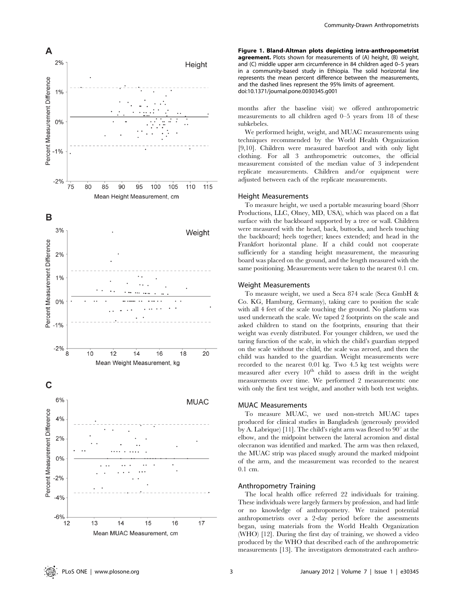

Figure 1. Bland-Altman plots depicting intra-anthropometrist agreement. Plots shown for measurements of (A) height, (B) weight, and (C) middle upper arm circumference in 84 children aged 0–5 years in a community-based study in Ethiopia. The solid horizontal line represents the mean percent difference between the measurements, and the dashed lines represent the 95% limits of agreement. doi:10.1371/journal.pone.0030345.g001

months after the baseline visit) we offered anthropometric measurements to all children aged 0–5 years from 18 of these subkebeles.

We performed height, weight, and MUAC measurements using techniques recommended by the World Health Organization [9,10]. Children were measured barefoot and with only light clothing. For all 3 anthropometric outcomes, the official measurement consisted of the median value of 3 independent replicate measurements. Children and/or equipment were adjusted between each of the replicate measurements.

## Height Measurements

To measure height, we used a portable measuring board (Shorr Productions, LLC, Olney, MD, USA), which was placed on a flat surface with the backboard supported by a tree or wall. Children were measured with the head, back, buttocks, and heels touching the backboard; heels together; knees extended; and head in the Frankfort horizontal plane. If a child could not cooperate sufficiently for a standing height measurement, the measuring board was placed on the ground, and the length measured with the same positioning. Measurements were taken to the nearest 0.1 cm.

## Weight Measurements

To measure weight, we used a Seca 874 scale (Seca GmbH & Co. KG, Hamburg, Germany), taking care to position the scale with all 4 feet of the scale touching the ground. No platform was used underneath the scale. We taped 2 footprints on the scale and asked children to stand on the footprints, ensuring that their weight was evenly distributed. For younger children, we used the taring function of the scale, in which the child's guardian stepped on the scale without the child, the scale was zeroed, and then the child was handed to the guardian. Weight measurements were recorded to the nearest 0.01 kg. Two 4.5 kg test weights were measured after every  $10<sup>th</sup>$  child to assess drift in the weight measurements over time. We performed 2 measurements: one with only the first test weight, and another with both test weights.

## MUAC Measurements

To measure MUAC, we used non-stretch MUAC tapes produced for clinical studies in Bangladesh (generously provided by A. Labrique) [11]. The child's right arm was flexed to  $90^{\circ}$  at the elbow, and the midpoint between the lateral acromion and distal olecranon was identified and marked. The arm was then relaxed, the MUAC strip was placed snugly around the marked midpoint of the arm, and the measurement was recorded to the nearest 0.1 cm.

#### Anthropometry Training

The local health office referred 22 individuals for training. These individuals were largely farmers by profession, and had little or no knowledge of anthropometry. We trained potential anthropometrists over a 2-day period before the assessments began, using materials from the World Health Organization (WHO) [12]. During the first day of training, we showed a video produced by the WHO that described each of the anthropometric measurements [13]. The investigators demonstrated each anthro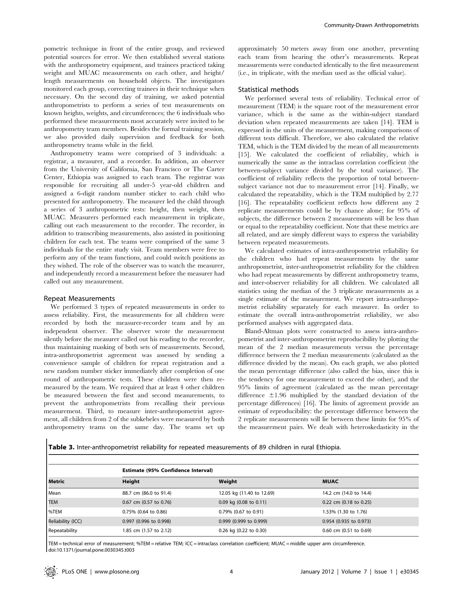pometric technique in front of the entire group, and reviewed potential sources for error. We then established several stations with the anthropometry equipment, and trainees practiced taking weight and MUAC measurements on each other, and height/ length measurements on household objects. The investigators monitored each group, correcting trainees in their technique when necessary. On the second day of training, we asked potential anthropometrists to perform a series of test measurements on known heights, weights, and circumferences; the 6 individuals who performed these measurements most accurately were invited to be anthropometry team members. Besides the formal training session, we also provided daily supervision and feedback for both anthropometry teams while in the field.

Anthropometry teams were comprised of 3 individuals: a registrar, a measurer, and a recorder. In addition, an observer from the University of California, San Francisco or The Carter Center, Ethiopia was assigned to each team. The registrar was responsible for recruiting all under-5 year-old children and assigned a 6-digit random number sticker to each child who presented for anthropometry. The measurer led the child through a series of 3 anthropometric tests: height, then weight, then MUAC. Measurers performed each measurement in triplicate, calling out each measurement to the recorder. The recorder, in addition to transcribing measurements, also assisted in positioning children for each test. The teams were comprised of the same 3 individuals for the entire study visit. Team members were free to perform any of the team functions, and could switch positions as they wished. The role of the observer was to watch the measurer, and independently record a measurement before the measurer had called out any measurement.

#### Repeat Measurements

We performed 3 types of repeated measurements in order to assess reliability. First, the measurements for all children were recorded by both the measurer-recorder team and by an independent observer. The observer wrote the measurement silently before the measurer called out his reading to the recorder, thus maintaining masking of both sets of measurements. Second, intra-anthropometrist agreement was assessed by sending a convenience sample of children for repeat registration and a new random number sticker immediately after completion of one round of anthropometric tests. These children were then remeasured by the team. We required that at least 4 other children be measured between the first and second measurements, to prevent the anthropometrists from recalling their previous measurement. Third, to measure inter-anthropometrist agreement, all children from 2 of the subkebeles were measured by both anthropometry teams on the same day. The teams set up

approximately 50 meters away from one another, preventing each team from hearing the other's measurements. Repeat measurements were conducted identically to the first measurement (i.e., in triplicate, with the median used as the official value).

# Statistical methods

We performed several tests of reliability. Technical error of measurement (TEM) is the square root of the measurement error variance, which is the same as the within-subject standard deviation when repeated measurements are taken [14]. TEM is expressed in the units of the measurement, making comparisons of different tests difficult. Therefore, we also calculated the relative TEM, which is the TEM divided by the mean of all measurements [15]. We calculated the coefficient of reliability, which is numerically the same as the intraclass correlation coefficient (the between-subject variance divided by the total variance). The coefficient of reliability reflects the proportion of total betweensubject variance not due to measurement error [14]. Finally, we calculated the repeatability, which is the TEM multiplied by 2.77 [16]. The repeatability coefficient reflects how different any 2 replicate measurements could be by chance alone; for 95% of subjects, the difference between 2 measurements will be less than or equal to the repeatability coefficient. Note that these metrics are all related, and are simply different ways to express the variability between repeated measurements.

We calculated estimates of intra-anthropometrist reliability for the children who had repeat measurements by the same anthropometrist, inter-anthropometrist reliability for the children who had repeat measurements by different anthropometry teams, and inter-observer reliability for all children. We calculated all statistics using the median of the 3 triplicate measurements as a single estimate of the measurement. We report intra-anthropometrist reliability separately for each measurer. In order to estimate the overall intra-anthropometrist reliability, we also performed analyses with aggregated data.

Bland-Altman plots were constructed to assess intra-anthropometrist and inter-anthropometrist reproducibility by plotting the mean of the 2 median measurements versus the percentage difference between the 2 median measurements (calculated as the difference divided by the mean). On each graph, we also plotted the mean percentage difference (also called the bias, since this is the tendency for one measurement to exceed the other), and the 95% limits of agreement (calculated as the mean percentage difference  $\pm 1.96$  multiplied by the standard deviation of the percentage differences) [16]. The limits of agreement provide an estimate of reproducibility: the percentage difference between the 2 replicate measurements will lie between these limits for 95% of the measurement pairs. We dealt with heteroskedasticity in the

Table 3. Inter-anthropometrist reliability for repeated measurements of 89 children in rural Ethiopia.

|                   | <b>Estimate (95% Confidence Interval)</b> |                              |                        |  |
|-------------------|-------------------------------------------|------------------------------|------------------------|--|
| Metric            | Height                                    | Weight                       | <b>MUAC</b>            |  |
| Mean              | 88.7 cm (86.0 to 91.4)                    | 12.05 kg (11.40 to 12.69)    | 14.2 cm (14.0 to 14.4) |  |
| <b>TEM</b>        | 0.67 cm (0.57 to 0.76)                    | $0.09$ kg $(0.08$ to $0.11)$ | 0.22 cm (0.18 to 0.25) |  |
| %TEM              | 0.75% (0.64 to 0.86)                      | 0.79% (0.67 to 0.91)         | 1.53% (1.30 to 1.76)   |  |
| Reliability (ICC) | 0.997 (0.996 to 0.998)                    | 0.999 (0.999 to 0.999)       | 0.954 (0.935 to 0.973) |  |
| Repeatability     | 1.85 cm (1.57 to 2.12)                    | 0.26 kg (0.22 to 0.30)       | 0.60 cm (0.51 to 0.69) |  |

TEM = technical error of measurement; %TEM = relative TEM; ICC = intraclass correlation coefficient; MUAC = middle upper arm circumference. doi:10.1371/journal.pone.0030345.t003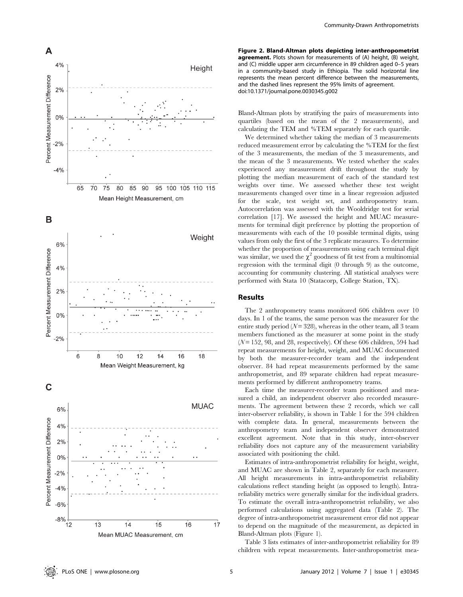

Figure 2. Bland-Altman plots depicting inter-anthropometrist agreement. Plots shown for measurements of (A) height, (B) weight, and (C) middle upper arm circumference in 89 children aged 0–5 years in a community-based study in Ethiopia. The solid horizontal line represents the mean percent difference between the measurements, and the dashed lines represent the 95% limits of agreement. doi:10.1371/journal.pone.0030345.g002

Bland-Altman plots by stratifying the pairs of measurements into quartiles (based on the mean of the 2 measurements), and calculating the TEM and %TEM separately for each quartile.

We determined whether taking the median of 3 measurements reduced measurement error by calculating the %TEM for the first of the 3 measurements, the median of the 3 measurements, and the mean of the 3 measurements. We tested whether the scales experienced any measurement drift throughout the study by plotting the median measurement of each of the standard test weights over time. We assessed whether these test weight measurements changed over time in a linear regression adjusted for the scale, test weight set, and anthropometry team. Autocorrelation was assessed with the Wooldridge test for serial correlation [17]. We assessed the height and MUAC measurements for terminal digit preference by plotting the proportion of measurements with each of the 10 possible terminal digits, using values from only the first of the 3 replicate measures. To determine whether the proportion of measurements using each terminal digit was similar, we used the  $\chi^2$  goodness of fit test from a multinomial regression with the terminal digit (0 through 9) as the outcome, accounting for community clustering. All statistical analyses were performed with Stata 10 (Statacorp, College Station, TX).

## Results

The 2 anthropometry teams monitored 606 children over 10 days. In 1 of the teams, the same person was the measurer for the entire study period ( $N = 328$ ), whereas in the other team, all 3 team members functioned as the measurer at some point in the study  $(N = 152, 98, \text{ and } 28, \text{ respectively})$ . Of these 606 children, 594 had repeat measurements for height, weight, and MUAC documented by both the measurer-recorder team and the independent observer. 84 had repeat measurements performed by the same anthropometrist, and 89 separate children had repeat measurements performed by different anthropometry teams.

Each time the measurer-recorder team positioned and measured a child, an independent observer also recorded measurements. The agreement between these 2 records, which we call inter-observer reliability, is shown in Table 1 for the 594 children with complete data. In general, measurements between the anthropometry team and independent observer demonstrated excellent agreement. Note that in this study, inter-observer reliability does not capture any of the measurement variability associated with positioning the child.

Estimates of intra-anthropometrist reliability for height, weight, and MUAC are shown in Table 2, separately for each measurer. All height measurements in intra-anthropometrist reliability calculations reflect standing height (as opposed to length). Intrareliability metrics were generally similar for the individual graders. To estimate the overall intra-anthropometrist reliability, we also performed calculations using aggregated data (Table 2). The degree of intra-anthropometrist measurement error did not appear to depend on the magnitude of the measurement, as depicted in Bland-Altman plots (Figure 1).

Table 3 lists estimates of inter-anthropometrist reliability for 89 children with repeat measurements. Inter-anthropometrist mea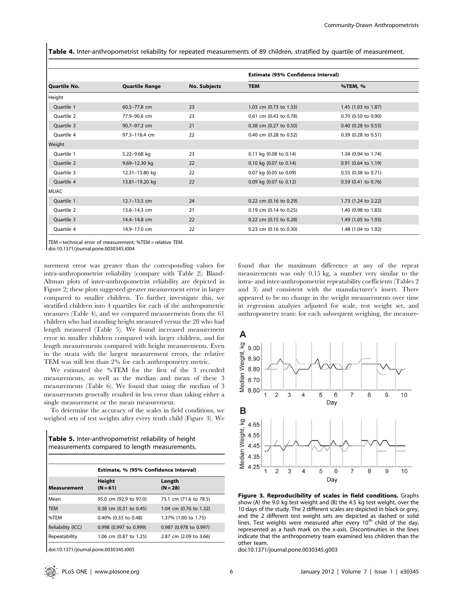Table 4. Inter-anthropometrist reliability for repeated measurements of 89 children, stratified by quartile of measurement.

|                   |                       |              | <b>Estimate (95% Confidence Interval)</b> |                       |
|-------------------|-----------------------|--------------|-------------------------------------------|-----------------------|
| Quartile No.      | <b>Quartile Range</b> | No. Subjects | <b>TEM</b>                                | %TEM, %               |
| Height            |                       |              |                                           |                       |
| Ouartile 1        | 60.5-77.8 cm          | 23           | 1.03 cm (0.73 to 1.33)                    | 1.45 (1.03 to 1.87)   |
| <b>Ouartile 2</b> | 77.9-90.6 cm          | 23           | 0.61 cm (0.43 to 0.78)                    | $0.70$ (0.50 to 0.90) |
| Quartile 3        | 90.7-97.2 cm          | 21           | 0.38 cm (0.27 to 0.50)                    | $0.40$ (0.28 to 0.53) |
| Ouartile 4        | 97.3-116.4 cm         | 22           | 0.40 cm (0.28 to 0.52)                    | 0.39 (0.28 to 0.51)   |
| Weight            |                       |              |                                           |                       |
| Ouartile 1        | 5.22-9.68 kg          | 23           | 0.11 kg (0.08 to 0.14)                    | 1.34 (0.94 to 1.74)   |
| <b>Ouartile 2</b> | 9.69-12.30 kg         | 22           | 0.10 kg (0.07 to 0.14)                    | $0.91$ (0.64 to 1.19) |
| Ouartile 3        | 12.31-13.80 kg        | 22           | 0.07 kg (0.05 to 0.09)                    | 0.55 (0.38 to 0.71)   |
| Quartile 4        | 13.81-19.20 kg        | 22           | 0.09 kg (0.07 to 0.12)                    | 0.59 (0.41 to 0.76)   |
| <b>MUAC</b>       |                       |              |                                           |                       |
| Ouartile 1        | $12.1 - 13.5$ cm      | 24           | 0.22 cm (0.16 to 0.29)                    | 1.73 (1.24 to 2.22)   |
| Quartile 2        | 13.6-14.3 cm          | 21           | 0.19 cm (0.14 to 0.25)                    | 1.40 (0.98 to 1.83)   |
| Quartile 3        | 14.4-14.8 cm          | 22           | 0.22 cm (0.15 to 0.28)                    | 1.49 (1.05 to 1.93)   |
| Ouartile 4        | 14.9-17.0 cm          | 22           | 0.23 cm (0.16 to 0.30)                    | 1.48 (1.04 to 1.92)   |

TEM = technical error of measurement; %TEM = relative TEM.

doi:10.1371/journal.pone.0030345.t004

surement error was greater than the corresponding values for intra-anthropometrist reliability (compare with Table 2). Bland-Altman plots of inter-anthropometrist reliability are depicted in Figure 2; these plots suggested greater measurement error in larger compared to smaller children. To further investigate this, we stratified children into 4 quartiles for each of the anthropometric measures (Table 4), and we compared measurements from the 61 children who had standing height measured versus the 28 who had length measured (Table 5). We found increased measurement error in smaller children compared with larger children, and for length measurements compared with height measurements. Even in the strata with the largest measurement errors, the relative TEM was still less than 2% for each anthropometry metric.

We estimated the %TEM for the first of the 3 recorded measurements, as well as the median and mean of these 3 measurements (Table 6). We found that using the median of 3 measurements generally resulted in less error than taking either a single measurement or the mean measurement.

To determine the accuracy of the scales in field conditions, we weighed sets of test weights after every tenth child (Figure 3). We

| <b>Table 5.</b> Inter-anthropometrist reliability of height |  |
|-------------------------------------------------------------|--|
| measurements compared to length measurements.               |  |

|                    | Estimate, % (95% Confidence Interval) |                        |  |
|--------------------|---------------------------------------|------------------------|--|
| <b>Measurement</b> | Height<br>$(N = 61)$                  | Length<br>$(N = 28)$   |  |
| Mean               | 95.0 cm (92.9 to 97.0)                | 75.1 cm (71.6 to 78.5) |  |
| <b>TEM</b>         | $0.38$ cm $(0.31$ to $0.45)$          | 1.04 cm (0.76 to 1.32) |  |
| %TEM               | $0.40\%$ (0.33 to 0.48)               | 1.37% (1.00 to 1.75)   |  |
| Reliability (ICC)  | 0.998 (0.997 to 0.999)                | 0.987 (0.978 to 0.997) |  |
| Repeatability      | 1.06 cm (0.87 to 1.25)                | 2.87 cm (2.09 to 3.66) |  |

doi:10.1371/journal.pone.0030345.t005

 $\overline{\phantom{a}}$ 

found that the maximum difference at any of the repeat measurements was only 0.15 kg, a number very similar to the intra- and inter-anthropometrist repeatability coefficients (Tables 2 and 3) and consistent with the manufacturer's insert. There appeared to be no change in the weight measurements over time in regression analyses adjusted for scale, test weight set, and anthropometry team: for each subsequent weighing, the measure-



Figure 3. Reproducibility of scales in field conditions. Graphs show (A) the 9.0 kg test weight and (B) the 4.5 kg test weight, over the 10 days of the study. The 2 different scales are depicted in black or grey, and the 2 different test weight sets are depicted as dashed or solid lines. Test weights were measured after every 10<sup>th</sup> child of the day, represented as a hash mark on the x-axis. Discontinuities in the lines indicate that the anthropometry team examined less children than the other team.

doi:10.1371/journal.pone.0030345.g003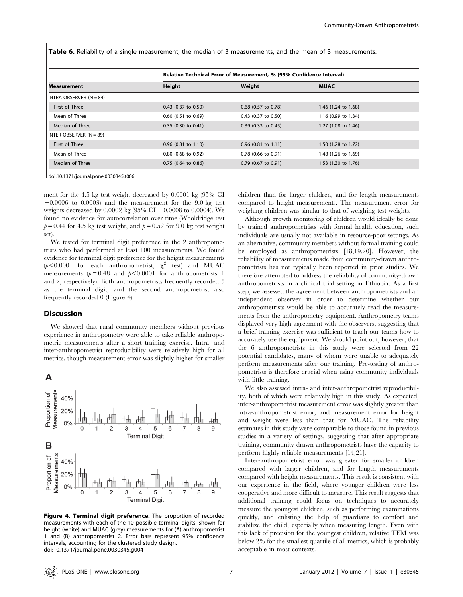Table 6. Reliability of a single measurement, the median of 3 measurements, and the mean of 3 measurements.

|                           | Relative Technical Error of Measurement, % (95% Confidence Interval) |                       |                     |  |
|---------------------------|----------------------------------------------------------------------|-----------------------|---------------------|--|
| <b>Measurement</b>        | Height                                                               | Weight                | <b>MUAC</b>         |  |
| I INTRA-OBSERVER (N = 84) |                                                                      |                       |                     |  |
| First of Three            | $0.43$ (0.37 to 0.50)                                                | 0.68 (0.57 to 0.78)   | 1.46 (1.24 to 1.68) |  |
| Mean of Three             | $0.60$ (0.51 to 0.69)                                                | $0.43$ (0.37 to 0.50) | 1.16 (0.99 to 1.34) |  |
| Median of Three           | $0.35$ (0.30 to 0.41)                                                | $0.39$ (0.33 to 0.45) | 1.27 (1.08 to 1.46) |  |
| I INTER-OBSERVER (N = 89) |                                                                      |                       |                     |  |
| First of Three            | $0.96$ (0.81 to 1.10)                                                | $0.96$ (0.81 to 1.11) | 1.50 (1.28 to 1.72) |  |
| Mean of Three             | $0.80$ (0.68 to 0.92)                                                | $0.78$ (0.66 to 0.91) | 1.48 (1.26 to 1.69) |  |
| Median of Three           | 0.75 (0.64 to 0.86)                                                  | $0.79$ (0.67 to 0.91) | 1.53 (1.30 to 1.76) |  |

doi:10.1371/journal.pone.0030345.t006

ment for the 4.5 kg test weight decreased by 0.0001 kg (95% CI  $-0.0006$  to 0.0003) and the measurement for the 9.0 kg test weights decreased by 0.0002 kg (95% CI  $-0.0008$  to 0.0004). We found no evidence for autocorrelation over time (Wooldridge test  $p = 0.44$  for 4.5 kg test weight, and  $p = 0.52$  for 9.0 kg test weight set).

We tested for terminal digit preference in the 2 anthropometrists who had performed at least 100 measurements. We found evidence for terminal digit preference for the height measurements ( $p$ <0.0001 for each anthropometrist,  $\chi^2$  test) and MUAC measurements ( $p = 0.48$  and  $p < 0.0001$  for anthropometrists 1 and 2, respectively). Both anthropometrists frequently recorded 5 as the terminal digit, and the second anthropometrist also frequently recorded 0 (Figure 4).

#### **Discussion**

We showed that rural community members without previous experience in anthropometry were able to take reliable anthropometric measurements after a short training exercise. Intra- and inter-anthropometrist reproducibility were relatively high for all metrics, though measurement error was slightly higher for smaller

# A



Figure 4. Terminal digit preference. The proportion of recorded measurements with each of the 10 possible terminal digits, shown for height (white) and MUAC (grey) measurements for (A) anthropometrist 1 and (B) anthropometrist 2. Error bars represent 95% confidence intervals, accounting for the clustered study design. doi:10.1371/journal.pone.0030345.g004

children than for larger children, and for length measurements compared to height measurements. The measurement error for weighing children was similar to that of weighing test weights.

Although growth monitoring of children would ideally be done by trained anthropometrists with formal health education, such individuals are usually not available in resource-poor settings. As an alternative, community members without formal training could be employed as anthropometrists [18,19,20]. However, the reliability of measurements made from community-drawn anthropometrists has not typically been reported in prior studies. We therefore attempted to address the reliability of community-drawn anthropometrists in a clinical trial setting in Ethiopia. As a first step, we assessed the agreement between anthropometrists and an independent observer in order to determine whether our anthropometrists would be able to accurately read the measurements from the anthropometry equipment. Anthropometry teams displayed very high agreement with the observers, suggesting that a brief training exercise was sufficient to teach our teams how to accurately use the equipment. We should point out, however, that the 6 anthropometrists in this study were selected from 22 potential candidates, many of whom were unable to adequately perform measurements after our training. Pre-testing of anthropometrists is therefore crucial when using community individuals with little training.

We also assessed intra- and inter-anthropometrist reproducibility, both of which were relatively high in this study. As expected, inter-anthropometrist measurement error was slightly greater than intra-anthropometrist error, and measurement error for height and weight were less than that for MUAC. The reliability estimates in this study were comparable to those found in previous studies in a variety of settings, suggesting that after appropriate training, community-drawn anthropometrists have the capacity to perform highly reliable measurements [14,21].

Inter-anthropometrist error was greater for smaller children compared with larger children, and for length measurements compared with height measurements. This result is consistent with our experience in the field, where younger children were less cooperative and more difficult to measure. This result suggests that additional training could focus on techniques to accurately measure the youngest children, such as performing examinations quickly, and enlisting the help of guardians to comfort and stabilize the child, especially when measuring length. Even with this lack of precision for the youngest children, relative TEM was below 2% for the smallest quartile of all metrics, which is probably acceptable in most contexts.